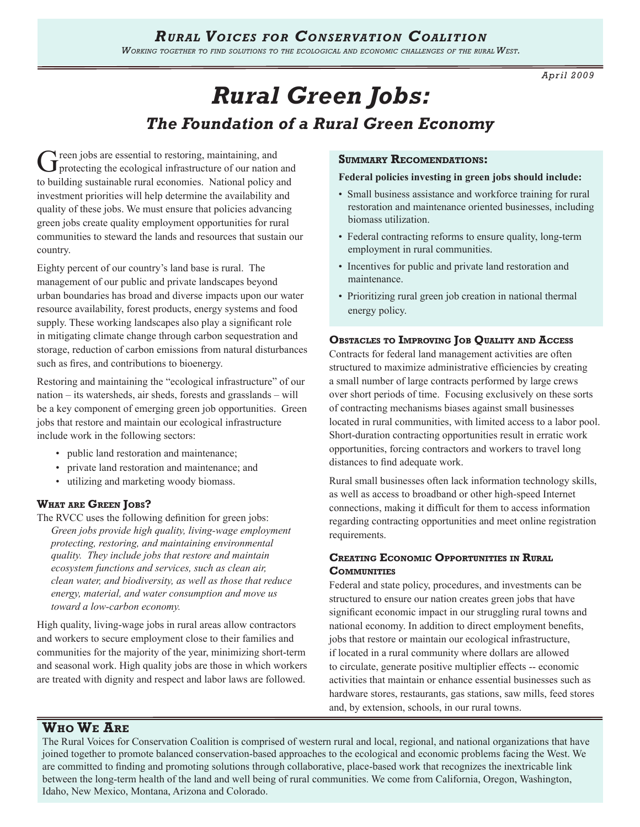# *Rural Voices for Conservation Coalition*

*Working together to find solutions to the ecological and economic challenges of the rural West.* 

*April 2009*

# *Rural Green Jobs: The Foundation of a Rural Green Economy*

Green jobs are essential to restoring, maintaining, and<br>
protecting the ecological infrastructure of our nation and to building sustainable rural economies. National policy and investment priorities will help determine the availability and quality of these jobs. We must ensure that policies advancing green jobs create quality employment opportunities for rural communities to steward the lands and resources that sustain our country.

Eighty percent of our country's land base is rural. The management of our public and private landscapes beyond urban boundaries has broad and diverse impacts upon our water resource availability, forest products, energy systems and food supply. These working landscapes also play a significant role in mitigating climate change through carbon sequestration and storage, reduction of carbon emissions from natural disturbances such as fires, and contributions to bioenergy.

Restoring and maintaining the "ecological infrastructure" of our nation – its watersheds, air sheds, forests and grasslands – will be a key component of emerging green job opportunities. Green jobs that restore and maintain our ecological infrastructure include work in the following sectors:

- public land restoration and maintenance;
- private land restoration and maintenance; and
- utilizing and marketing woody biomass.

#### **What are Green Jobs?**

The RVCC uses the following definition for green jobs: *Green jobs provide high quality, living-wage employment protecting, restoring, and maintaining environmental quality. They include jobs that restore and maintain ecosystem functions and services, such as clean air, clean water, and biodiversity, as well as those that reduce energy, material, and water consumption and move us toward a low-carbon economy.*

High quality, living-wage jobs in rural areas allow contractors and workers to secure employment close to their families and communities for the majority of the year, minimizing short-term and seasonal work. High quality jobs are those in which workers are treated with dignity and respect and labor laws are followed.

#### **Summary Recomendations:**

#### **Federal policies investing in green jobs should include:**

- Small business assistance and workforce training for rural restoration and maintenance oriented businesses, including biomass utilization.
- Federal contracting reforms to ensure quality, long-term employment in rural communities.
- Incentives for public and private land restoration and maintenance.
- Prioritizing rural green job creation in national thermal energy policy.

#### **Obstacles to Improving Job Quality and Access**

Contracts for federal land management activities are often structured to maximize administrative efficiencies by creating a small number of large contracts performed by large crews over short periods of time. Focusing exclusively on these sorts of contracting mechanisms biases against small businesses located in rural communities, with limited access to a labor pool. Short-duration contracting opportunities result in erratic work opportunities, forcing contractors and workers to travel long distances to find adequate work.

Rural small businesses often lack information technology skills, as well as access to broadband or other high-speed Internet connections, making it difficult for them to access information regarding contracting opportunities and meet online registration requirements.

# **Creating Economic Opportunities in Rural COMMUNITIES**

Federal and state policy, procedures, and investments can be structured to ensure our nation creates green jobs that have significant economic impact in our struggling rural towns and national economy. In addition to direct employment benefits, jobs that restore or maintain our ecological infrastructure, if located in a rural community where dollars are allowed to circulate, generate positive multiplier effects -- economic activities that maintain or enhance essential businesses such as hardware stores, restaurants, gas stations, saw mills, feed stores and, by extension, schools, in our rural towns.

# **Who We Are**

The Rural Voices for Conservation Coalition is comprised of western rural and local, regional, and national organizations that have joined together to promote balanced conservation-based approaches to the ecological and economic problems facing the West. We are committed to finding and promoting solutions through collaborative, place-based work that recognizes the inextricable link between the long-term health of the land and well being of rural communities. We come from California, Oregon, Washington, Idaho, New Mexico, Montana, Arizona and Colorado.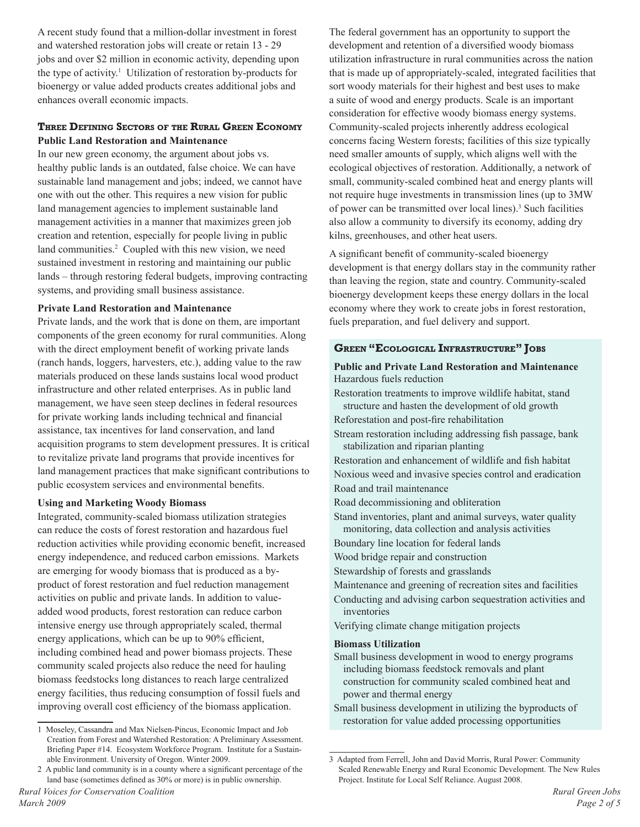A recent study found that a million-dollar investment in forest and watershed restoration jobs will create or retain 13 - 29 jobs and over \$2 million in economic activity, depending upon the type of activity.<sup>1</sup> Utilization of restoration by-products for bioenergy or value added products creates additional jobs and enhances overall economic impacts.

## **Three Defining Sectors of the Rural Green Economy Public Land Restoration and Maintenance**

In our new green economy, the argument about jobs vs. healthy public lands is an outdated, false choice. We can have sustainable land management and jobs; indeed, we cannot have one with out the other. This requires a new vision for public land management agencies to implement sustainable land management activities in a manner that maximizes green job creation and retention, especially for people living in public land communities.<sup>2</sup> Coupled with this new vision, we need sustained investment in restoring and maintaining our public lands – through restoring federal budgets, improving contracting systems, and providing small business assistance.

#### **Private Land Restoration and Maintenance**

Private lands, and the work that is done on them, are important components of the green economy for rural communities. Along with the direct employment benefit of working private lands (ranch hands, loggers, harvesters, etc.), adding value to the raw materials produced on these lands sustains local wood product infrastructure and other related enterprises. As in public land management, we have seen steep declines in federal resources for private working lands including technical and financial assistance, tax incentives for land conservation, and land acquisition programs to stem development pressures. It is critical to revitalize private land programs that provide incentives for land management practices that make significant contributions to public ecosystem services and environmental benefits.

#### **Using and Marketing Woody Biomass**

Integrated, community-scaled biomass utilization strategies can reduce the costs of forest restoration and hazardous fuel reduction activities while providing economic benefit, increased energy independence, and reduced carbon emissions. Markets are emerging for woody biomass that is produced as a byproduct of forest restoration and fuel reduction management activities on public and private lands. In addition to valueadded wood products, forest restoration can reduce carbon intensive energy use through appropriately scaled, thermal energy applications, which can be up to 90% efficient, including combined head and power biomass projects. These community scaled projects also reduce the need for hauling biomass feedstocks long distances to reach large centralized energy facilities, thus reducing consumption of fossil fuels and improving overall cost efficiency of the biomass application.

The federal government has an opportunity to support the development and retention of a diversified woody biomass utilization infrastructure in rural communities across the nation that is made up of appropriately-scaled, integrated facilities that sort woody materials for their highest and best uses to make a suite of wood and energy products. Scale is an important consideration for effective woody biomass energy systems. Community-scaled projects inherently address ecological concerns facing Western forests; facilities of this size typically need smaller amounts of supply, which aligns well with the ecological objectives of restoration. Additionally, a network of small, community-scaled combined heat and energy plants will not require huge investments in transmission lines (up to 3MW of power can be transmitted over local lines).<sup>3</sup> Such facilities also allow a community to diversify its economy, adding dry kilns, greenhouses, and other heat users.

A significant benefit of community-scaled bioenergy development is that energy dollars stay in the community rather than leaving the region, state and country. Community-scaled bioenergy development keeps these energy dollars in the local economy where they work to create jobs in forest restoration, fuels preparation, and fuel delivery and support.

#### **Green "Ecological Infrastructure" Jobs**

#### **Public and Private Land Restoration and Maintenance** Hazardous fuels reduction

Restoration treatments to improve wildlife habitat, stand structure and hasten the development of old growth Reforestation and post-fire rehabilitation

Stream restoration including addressing fish passage, bank stabilization and riparian planting

Restoration and enhancement of wildlife and fish habitat Noxious weed and invasive species control and eradication Road and trail maintenance

Road decommissioning and obliteration

Stand inventories, plant and animal surveys, water quality monitoring, data collection and analysis activities

Boundary line location for federal lands

Wood bridge repair and construction

Stewardship of forests and grasslands

Maintenance and greening of recreation sites and facilities

Conducting and advising carbon sequestration activities and inventories

Verifying climate change mitigation projects

#### **Biomass Utilization**

Small business development in wood to energy programs including biomass feedstock removals and plant construction for community scaled combined heat and power and thermal energy

Small business development in utilizing the byproducts of restoration for value added processing opportunities

<sup>1</sup> Moseley, Cassandra and Max Nielsen-Pincus, Economic Impact and Job Creation from Forest and Watershed Restoration: A Preliminary Assessment. Briefing Paper #14. Ecosystem Workforce Program. Institute for a Sustainable Environment. University of Oregon. Winter 2009.

<sup>2</sup> A public land community is in a county where a significant percentage of the land base (sometimes defined as 30% or more) is in public ownership.

<sup>3</sup> Adapted from Ferrell, John and David Morris, Rural Power: Community Scaled Renewable Energy and Rural Economic Development. The New Rules Project. Institute for Local Self Reliance. August 2008.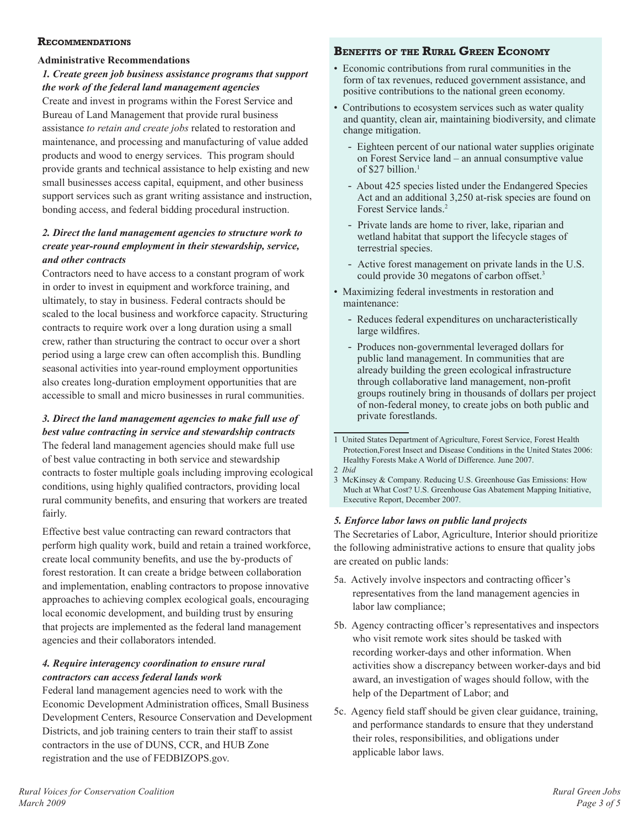#### **Recommendations**

# **Administrative Recommendations**

# *1. Create green job business assistance programs that support the work of the federal land management agencies*

Create and invest in programs within the Forest Service and Bureau of Land Management that provide rural business assistance *to retain and create jobs* related to restoration and maintenance, and processing and manufacturing of value added products and wood to energy services. This program should provide grants and technical assistance to help existing and new small businesses access capital, equipment, and other business support services such as grant writing assistance and instruction, bonding access, and federal bidding procedural instruction.

# *2. Direct the land management agencies to structure work to create year-round employment in their stewardship, service, and other contracts*

Contractors need to have access to a constant program of work in order to invest in equipment and workforce training, and ultimately, to stay in business. Federal contracts should be scaled to the local business and workforce capacity. Structuring contracts to require work over a long duration using a small crew, rather than structuring the contract to occur over a short period using a large crew can often accomplish this. Bundling seasonal activities into year-round employment opportunities also creates long-duration employment opportunities that are accessible to small and micro businesses in rural communities.

# *3. Direct the land management agencies to make full use of best value contracting in service and stewardship contracts*

The federal land management agencies should make full use of best value contracting in both service and stewardship contracts to foster multiple goals including improving ecological conditions, using highly qualified contractors, providing local rural community benefits, and ensuring that workers are treated fairly.

Effective best value contracting can reward contractors that perform high quality work, build and retain a trained workforce, create local community benefits, and use the by-products of forest restoration. It can create a bridge between collaboration and implementation, enabling contractors to propose innovative approaches to achieving complex ecological goals, encouraging local economic development, and building trust by ensuring that projects are implemented as the federal land management agencies and their collaborators intended.

# *4. Require interagency coordination to ensure rural contractors can access federal lands work*

Federal land management agencies need to work with the Economic Development Administration offices, Small Business Development Centers, Resource Conservation and Development Districts, and job training centers to train their staff to assist contractors in the use of DUNS, CCR, and HUB Zone registration and the use of FEDBIZOPS.gov.

# **Benefits of the Rural Green Economy**

- Economic contributions from rural communities in the form of tax revenues, reduced government assistance, and positive contributions to the national green economy.
- Contributions to ecosystem services such as water quality and quantity, clean air, maintaining biodiversity, and climate change mitigation.
	- Eighteen percent of our national water supplies originate on Forest Service land – an annual consumptive value of \$27 billion.<sup>1</sup>
	- About 425 species listed under the Endangered Species Act and an additional 3,250 at-risk species are found on Forest Service lands.<sup>2</sup>
	- Private lands are home to river, lake, riparian and wetland habitat that support the lifecycle stages of terrestrial species.
	- Active forest management on private lands in the U.S. could provide 30 megatons of carbon offset.<sup>3</sup>
- Maximizing federal investments in restoration and maintenance:
	- Reduces federal expenditures on uncharacteristically large wildfires.
	- Produces non-governmental leveraged dollars for public land management. In communities that are already building the green ecological infrastructure through collaborative land management, non-profit groups routinely bring in thousands of dollars per project of non-federal money, to create jobs on both public and private forestlands.

#### *5. Enforce labor laws on public land projects*

The Secretaries of Labor, Agriculture, Interior should prioritize the following administrative actions to ensure that quality jobs are created on public lands:

- 5a. Actively involve inspectors and contracting officer's representatives from the land management agencies in labor law compliance;
- 5b. Agency contracting officer's representatives and inspectors who visit remote work sites should be tasked with recording worker-days and other information. When activities show a discrepancy between worker-days and bid award, an investigation of wages should follow, with the help of the Department of Labor; and
- 5c. Agency field staff should be given clear guidance, training, and performance standards to ensure that they understand their roles, responsibilities, and obligations under applicable labor laws.

<sup>1</sup> United States Department of Agriculture, Forest Service, Forest Health Protection,Forest Insect and Disease Conditions in the United States 2006: Healthy Forests Make A World of Difference. June 2007. 2 *Ibid* 

<sup>3</sup> McKinsey & Company. Reducing U.S. Greenhouse Gas Emissions: How Much at What Cost? U.S. Greenhouse Gas Abatement Mapping Initiative, Executive Report, December 2007.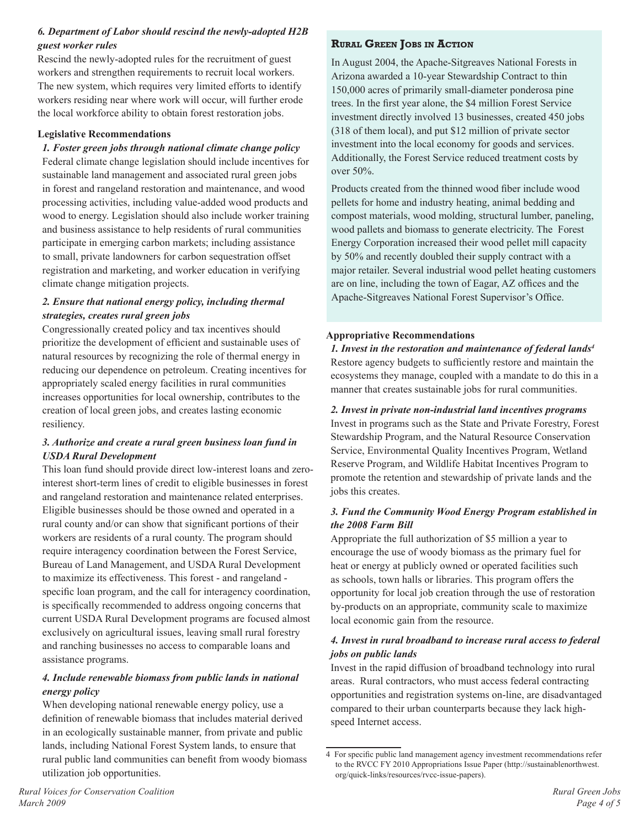# *6. Department of Labor should rescind the newly-adopted H2B guest worker rules*

Rescind the newly-adopted rules for the recruitment of guest workers and strengthen requirements to recruit local workers. The new system, which requires very limited efforts to identify workers residing near where work will occur, will further erode the local workforce ability to obtain forest restoration jobs.

## **Legislative Recommendations**

## *1. Foster green jobs through national climate change policy*

Federal climate change legislation should include incentives for sustainable land management and associated rural green jobs in forest and rangeland restoration and maintenance, and wood processing activities, including value-added wood products and wood to energy. Legislation should also include worker training and business assistance to help residents of rural communities participate in emerging carbon markets; including assistance to small, private landowners for carbon sequestration offset registration and marketing, and worker education in verifying climate change mitigation projects.

# *2. Ensure that national energy policy, including thermal strategies, creates rural green jobs*

Congressionally created policy and tax incentives should prioritize the development of efficient and sustainable uses of natural resources by recognizing the role of thermal energy in reducing our dependence on petroleum. Creating incentives for appropriately scaled energy facilities in rural communities increases opportunities for local ownership, contributes to the creation of local green jobs, and creates lasting economic resiliency.

# *3. Authorize and create a rural green business loan fund in USDA Rural Development*

This loan fund should provide direct low-interest loans and zerointerest short-term lines of credit to eligible businesses in forest and rangeland restoration and maintenance related enterprises. Eligible businesses should be those owned and operated in a rural county and/or can show that significant portions of their workers are residents of a rural county. The program should require interagency coordination between the Forest Service, Bureau of Land Management, and USDA Rural Development to maximize its effectiveness. This forest - and rangeland specific loan program, and the call for interagency coordination, is specifically recommended to address ongoing concerns that current USDA Rural Development programs are focused almost exclusively on agricultural issues, leaving small rural forestry and ranching businesses no access to comparable loans and assistance programs.

# *4. Include renewable biomass from public lands in national energy policy*

When developing national renewable energy policy, use a definition of renewable biomass that includes material derived in an ecologically sustainable manner, from private and public lands, including National Forest System lands, to ensure that rural public land communities can benefit from woody biomass utilization job opportunities.

# **Rural Green Jobs in Action**

In August 2004, the Apache-Sitgreaves National Forests in Arizona awarded a 10-year Stewardship Contract to thin 150,000 acres of primarily small-diameter ponderosa pine trees. In the first year alone, the \$4 million Forest Service investment directly involved 13 businesses, created 450 jobs (318 of them local), and put \$12 million of private sector investment into the local economy for goods and services. Additionally, the Forest Service reduced treatment costs by over 50%.

Products created from the thinned wood fiber include wood pellets for home and industry heating, animal bedding and compost materials, wood molding, structural lumber, paneling, wood pallets and biomass to generate electricity. The Forest Energy Corporation increased their wood pellet mill capacity by 50% and recently doubled their supply contract with a major retailer. Several industrial wood pellet heating customers are on line, including the town of Eagar, AZ offices and the Apache-Sitgreaves National Forest Supervisor's Office.

#### **Appropriative Recommendations**

*1. Invest in the restoration and maintenance of federal lands4* Restore agency budgets to sufficiently restore and maintain the ecosystems they manage, coupled with a mandate to do this in a manner that creates sustainable jobs for rural communities.

## *2. Invest in private non-industrial land incentives programs*

Invest in programs such as the State and Private Forestry, Forest Stewardship Program, and the Natural Resource Conservation Service, Environmental Quality Incentives Program, Wetland Reserve Program, and Wildlife Habitat Incentives Program to promote the retention and stewardship of private lands and the jobs this creates.

# *3. Fund the Community Wood Energy Program established in the 2008 Farm Bill*

Appropriate the full authorization of \$5 million a year to encourage the use of woody biomass as the primary fuel for heat or energy at publicly owned or operated facilities such as schools, town halls or libraries. This program offers the opportunity for local job creation through the use of restoration by-products on an appropriate, community scale to maximize local economic gain from the resource.

# *4. Invest in rural broadband to increase rural access to federal jobs on public lands*

Invest in the rapid diffusion of broadband technology into rural areas. Rural contractors, who must access federal contracting opportunities and registration systems on-line, are disadvantaged compared to their urban counterparts because they lack highspeed Internet access.

<sup>4</sup> For specific public land management agency investment recommendations refer to the RVCC FY 2010 Appropriations Issue Paper (http://sustainablenorthwest. org/quick-links/resources/rvcc-issue-papers).